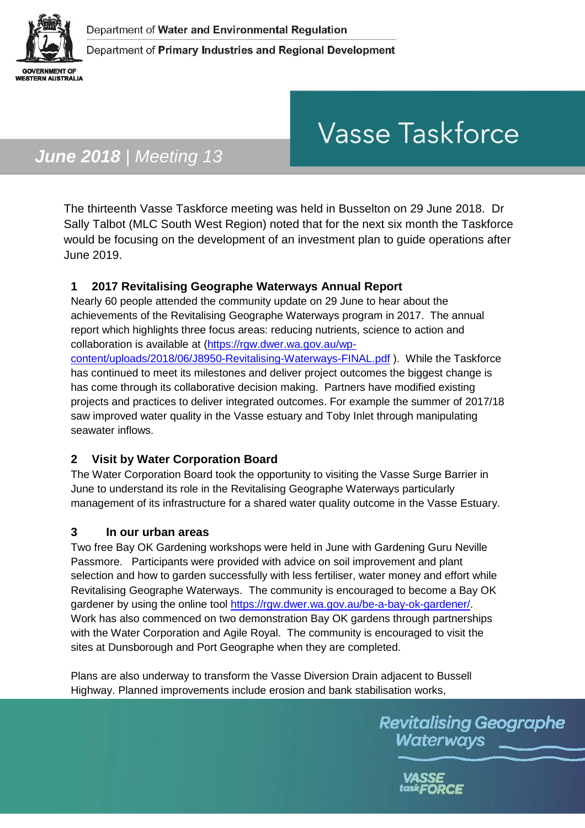

Department of Primary Industries and Regional Development

# **Vasse Taskforce**

# *June 2018 | Meeting 13*

The thirteenth Vasse Taskforce meeting was held in Busselton on 29 June 2018. Dr Sally Talbot (MLC South West Region) noted that for the next six month the Taskforce would be focusing on the development of an investment plan to guide operations after June 2019.

## **1 2017 Revitalising Geographe Waterways Annual Report**

Nearly 60 people attended the community update on 29 June to hear about the achievements of the Revitalising Geographe Waterways program in 2017. The annual report which highlights three focus areas: reducing nutrients, science to action and collaboration is available at [\(https://rgw.dwer.wa.gov.au/wp-](https://rgw.dwer.wa.gov.au/wp-content/uploads/2018/06/J8950-Revitalising-Waterways-FINAL.pdf)

[content/uploads/2018/06/J8950-Revitalising-Waterways-FINAL.pdf](https://rgw.dwer.wa.gov.au/wp-content/uploads/2018/06/J8950-Revitalising-Waterways-FINAL.pdf) ). While the Taskforce has continued to meet its milestones and deliver project outcomes the biggest change is has come through its collaborative decision making. Partners have modified existing projects and practices to deliver integrated outcomes. For example the summer of 2017/18 saw improved water quality in the Vasse estuary and Toby Inlet through manipulating seawater inflows.

## **2 Visit by Water Corporation Board**

The Water Corporation Board took the opportunity to visiting the Vasse Surge Barrier in June to understand its role in the Revitalising Geographe Waterways particularly management of its infrastructure for a shared water quality outcome in the Vasse Estuary.

#### **3 In our urban areas**

Two free Bay OK Gardening workshops were held in June with Gardening Guru Neville Passmore. Participants were provided with advice on soil improvement and plant selection and how to garden successfully with less fertiliser, water money and effort while Revitalising Geographe Waterways. The community is encouraged to become a Bay OK gardener by using the online tool [https://rgw.dwer.wa.gov.au/be-a-bay-ok-gardener/.](https://rgw.dwer.wa.gov.au/be-a-bay-ok-gardener/) Work has also commenced on two demonstration Bay OK gardens through partnerships with the Water Corporation and Agile Royal. The community is encouraged to visit the sites at Dunsborough and Port Geographe when they are completed.

Plans are also underway to transform the Vasse Diversion Drain adjacent to Bussell Highway. Planned improvements include erosion and bank stabilisation works,

> **Revitalising Geographe** Waterways